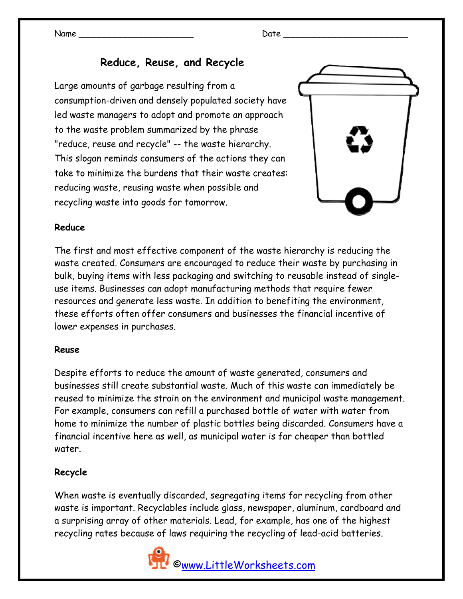## **Reduce, Reuse, and Recycle**

Large amounts of garbage resulting from a consumption-driven and densely populated society have led waste managers to adopt and promote an approach to the waste problem summarized by the phrase "reduce, reuse and recycle" -- the waste hierarchy. This slogan reminds consumers of the actions they can take to minimize the burdens that their waste creates: reducing waste, reusing waste when possible and recycling waste into goods for tomorrow.



#### **Reduce**

The first and most effective component of the waste hierarchy is reducing the waste created. Consumers are encouraged to reduce their waste by purchasing in bulk, buying items with less packaging and switching to reusable instead of singleuse items. Businesses can adopt manufacturing methods that require fewer resources and generate less waste. In addition to benefiting the environment, these efforts often offer consumers and businesses the financial incentive of lower expenses in purchases.

#### **Reuse**

Despite efforts to reduce the amount of waste generated, consumers and businesses still create substantial waste. Much of this waste can immediately be reused to minimize the strain on the environment and municipal waste management. For example, consumers can refill a purchased bottle of water with water from home to minimize the number of plastic bottles being discarded. Consumers have a financial incentive here as well, as municipal water is far cheaper than bottled water.

#### **Recycle**

When waste is eventually discarded, segregating items for recycling from other waste is important. Recyclables include glass, newspaper, aluminum, cardboard and a surprising array of other materials. Lead, for example, has one of the highest recycling rates because of laws requiring the recycling of lead-acid batteries.

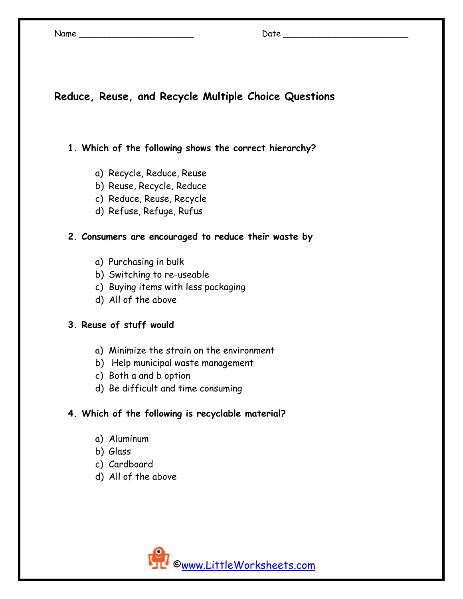| Name | <br>.)ate<br>. |  |
|------|----------------|--|
|      |                |  |

# **Reduce, Reuse, and Recycle Multiple Choice Questions**

#### **1. Which of the following shows the correct hierarchy?**

- a) Recycle, Reduce, Reuse
- b) Reuse, Recycle, Reduce
- c) Reduce, Reuse, Recycle
- d) Refuse, Refuge, Rufus

#### **2. Consumers are encouraged to reduce their waste by**

- a) Purchasing in bulk
- b) Switching to re-useable
- c) Buying items with less packaging
- d) All of the above

## **3. Reuse of stuff would**

- a) Minimize the strain on the environment
- b) Help municipal waste management
- c) Both a and b option
- d) Be difficult and time consuming

## **4. Which of the following is recyclable material?**

- a) Aluminum
- b) Glass
- c) Cardboard
- d) All of the above

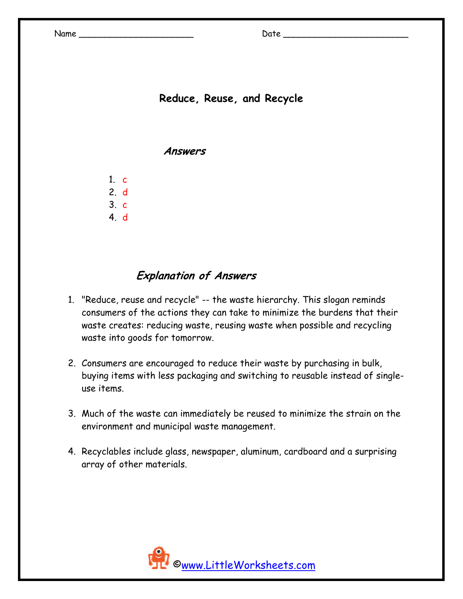# **Reduce, Reuse, and Recycle**

**Answers** 

1. c 2. d 3. c

4. d

# **Explanation of Answers**

- 1. "Reduce, reuse and recycle" -- the waste hierarchy. This slogan reminds consumers of the actions they can take to minimize the burdens that their waste creates: reducing waste, reusing waste when possible and recycling waste into goods for tomorrow.
- 2. Consumers are encouraged to reduce their waste by purchasing in bulk, buying items with less packaging and switching to reusable instead of singleuse items.
- 3. Much of the waste can immediately be reused to minimize the strain on the environment and municipal waste management.
- 4. Recyclables include glass, newspaper, aluminum, cardboard and a surprising array of other materials.